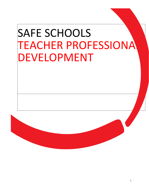# SAFE SCHOOLS **TEACHER PROFESSIONA** DEVELOPMENT

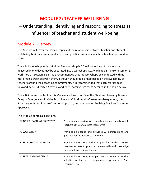# **MODULE 2: TEACHER WELL-BEING**

# – Understanding, identifying and responding to stress as influencer of teacher and student well-being

# Module 2 Overview

This Module will cover the key concepts and the relationship between teacher and student well-being, brain science around stress, and practical ways to shape how teachers respond to stress.

There is 1 Workshop in this Module. The workshop is  $5.5 - 6$  hours long. If it cannot be delivered in one day it may be separated into 2 workshops (i.e., workshop 1 – intro to session 3, workshop 2 – session 4 & 5). It is recommended that the workshops be conducted with not more than 1 week between them, although should be planned based on the availability of teachers around their teaching commitments. It is recommended that each Workshop is followed by Self-directed Activities and Peer Learning Circles, as detailed in the Table below.

The activities and content in this Module are based on: Save the Children's Learning & Well-Being in Emergencies, Positive Discipline and Child-Friendly Classroom Management, the Parenting without Violence Common Approach, and the pending Enabling Teachers Common Approach.

| <b>TEACHER LEARNING OBJECTIVES</b> | Provides an overview of competencies and levels which<br>teachers can use to assess themselves                                                      |
|------------------------------------|-----------------------------------------------------------------------------------------------------------------------------------------------------|
| A. WORKSHOP                        | Provides an agenda and activities with instructions and<br>guidance for facilitators to run them.                                                   |
| <b>B. SELF-DIRECTED ACTIVITIES</b> | Provides instructions and examples for teachers to set<br>themselves tasks to practice the new skills and knowledge<br>they develop in the workshop |
| C. PEER LEARNING CIRCLE            | Provides instructions, examples and potential extension<br>activities for teachers to implement together in a Peer<br>Learning Circle               |

This Module contains 4 sections.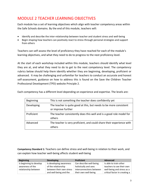# MODULE 2 TEACHER LEARNING OBJECTIVES

Each module has a set of learning objectives which align with teacher competency areas within the Safe Schools domains. By the end of this module, teachers will:

- Identify and describe the inter-relationship between teacher and student stress and well-being
- Begin shaping how teachers can positively react to stress through personal strategies and support from others

Teachers can self-assess the level of proficiency they have reached for each of the module's learning objectives, and what they need to do to progress to the next proficiency level.

At the start of each workshop included within this module, teachers should identify what level they are at, and what they need to do to get to the next competency level. The competency rubrics below should help them identify whether they are beginning, developing, proficient or advanced. It may be challenging and unfamiliar for teachers to conduct an accurate and honest self-assessment, guidance on how to address this is found on the Save the Children [Teacher](https://savethechildren1.sharepoint.com/sites/TeamSitePortal/Education/BETG/Teachers/SitePages/03%20Implementation%20guide/Principle%202.aspx?cid=0a8cd9be-22f9-4d5a-bc3b-c336a47c0cd4)  [Professional Development \(TPD\) website Principle 2](https://savethechildren1.sharepoint.com/sites/TeamSitePortal/Education/BETG/Teachers/SitePages/03%20Implementation%20guide/Principle%202.aspx?cid=0a8cd9be-22f9-4d5a-bc3b-c336a47c0cd4).

| <b>Beginning</b> | This is not something the teacher does confidently yet                                   |
|------------------|------------------------------------------------------------------------------------------|
| Developing       | The teacher is quite good at this, but needs to be more consistent<br>or improve further |
|                  |                                                                                          |
| Proficient       | The teacher consistently does this well and is a good role model for                     |
|                  | others                                                                                   |
| Advanced         | The teacher is very proficient, and could share their experience with                    |
|                  | others                                                                                   |

Each competency has a different level depending on experience and expertise. The levels are:

**Competency Standard 1:** Teachers can define stress and well-being in relation to their work, and can explain how teacher well-being affects student well-being

| <b>Beginning</b>        | <b>Developing</b>        | <b>Proficient</b>        | <b>Advanced</b>               |
|-------------------------|--------------------------|--------------------------|-------------------------------|
| Is beginning to develop | Is developing awareness  | Can describe well-being  | Is able to train other        |
| awareness of the        | of the relationship      | holistically and sees    | teachers to see their own     |
| relationship between    | between their own stress | interconnections between | well-being and stress as a    |
|                         | and well-being and the   | their own well-being     | critical factor in creating a |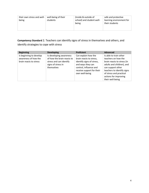| their own stress and well-<br>being | well-being of their<br>students | (inside & outside of<br>school) and student well-<br>being | safe and protective<br>learning environment for<br>their students |
|-------------------------------------|---------------------------------|------------------------------------------------------------|-------------------------------------------------------------------|
|-------------------------------------|---------------------------------|------------------------------------------------------------|-------------------------------------------------------------------|

# **Competency Standard** 2. Teachers can identify signs of stress in themselves and others, and

identify strategies to cope with stress

| <b>Beginning</b>                                                          | <b>Developing</b>                                                                                                    | <b>Proficient</b>                                                                                                                                                         | <b>Advanced</b>                                                                                                                                                                                                                     |
|---------------------------------------------------------------------------|----------------------------------------------------------------------------------------------------------------------|---------------------------------------------------------------------------------------------------------------------------------------------------------------------------|-------------------------------------------------------------------------------------------------------------------------------------------------------------------------------------------------------------------------------------|
| Is beginning to develop<br>awareness of how the<br>brain reacts to stress | Is developing awareness<br>of how the brain reacts to<br>stress and can identify<br>signs of stress in<br>themselves | Can explain how the<br>brain reacts to stress,<br>identify signs of stress,<br>and ways they can<br>control, influence and<br>receive support for their<br>own well-being | Is able to train other<br>teachers on how the<br>brain reacts to stress (in<br>adults and children), and<br>can support other<br>teachers to identify signs<br>of stress and practical<br>actions for improving<br>their well-being |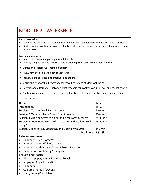# MODULE 2: WORKSHOP

#### **Aim of Workshop**

- Identify and describe the inter-relationship between teacher and student stress and well-being
- Begin shaping how teachers can positively react to stress through personal strategies and support from others

#### **Learning outcomes:**

At the end of this module participants will be able to:

- $\rightarrow$  Identify the positive and negative factors affecting their ability to do their job well
- $\rightarrow$  Define and explore well-being holistically
- $\rightarrow$  Know how the brain and body react to stress
- $\rightarrow$  Identify signs of stress in themselves and others
- $\rightarrow$  Clarify the relationship between teacher well-being and student well-being
- $\rightarrow$  Identify and differentiate between what teachers can control, can influence, and cannot control
- $\rightarrow$  Apply knowledge of signs of stress, risk and protective factors, available supports, and coping mechanisms

| <b>Outline</b>                                               | <b>Time</b>   |
|--------------------------------------------------------------|---------------|
| Introduction                                                 | 45-60         |
| Session 1: Teacher Well-Being & Work                         | 40 min        |
| Session 2: What is 'Stress'? How Does it Work?               | 40 min        |
| Session 3: Are You Stressed? Identifying the Signs of Stress | 35-40 min     |
| Session 4: How Does Stress Affect Teacher and Student Well-  | 45-60 min     |
| being?                                                       |               |
| Session 5: Identifying, Managing, and Coping with Stress     | 145 min       |
| <b>Total time</b>                                            | $5.5 - 6$ hrs |

#### **Relevant resources:**

- $\bullet$  Handout 1 Signs of Stress
- Handout 2 Mindfulness Activities
- Handout 3 Identifying Signs of Stress Scenarios
- Handout 4 Well-Being Strategies

#### **Required materials:**

- Flipchart paper/pen or Blackboard/chalk
- A4 paper (2x participant)
- Handouts
- Coloured markers/crayons
- Sticky notes (if available)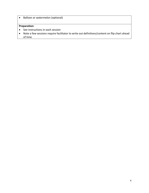• Balloon or watermelon (optional)

### **Preparation:**

- See instructions in each session
- Note a few sessions require facilitator to write out definitions/content on flip chart ahead of time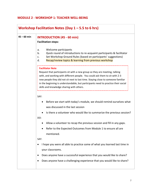### **MODULE 2 - WORKSHOP 1: TEACHER WELL-BEING**

| Workshop Facilitation Notes (Day $1 - 5.5$ to 6 hrs) |                                                                                                                                                            |  |  |  |
|------------------------------------------------------|------------------------------------------------------------------------------------------------------------------------------------------------------------|--|--|--|
| $45 - 60$ min                                        | <b>INTRODUCTION (45 - 60 min)</b>                                                                                                                          |  |  |  |
|                                                      | <b>Facilitation steps:</b>                                                                                                                                 |  |  |  |
|                                                      | Welcome participants<br>a.                                                                                                                                 |  |  |  |
|                                                      | Quick round of introductions to re-acquaint participants & facilitator<br>b.                                                                               |  |  |  |
|                                                      | Set Workshop Ground Rules (based on participants' suggestions)<br>$C_{\bullet}$<br>Recap/review topics & learning from previous workshop<br>d.             |  |  |  |
|                                                      | <b>Facilitator Note</b>                                                                                                                                    |  |  |  |
|                                                      | Request that participants sit with a new group so they are meeting, talking<br>with, and working with different people. You could ask them to sit with 2-3 |  |  |  |
|                                                      | new people they did not sit next to last time. Staying close to someone familiar                                                                           |  |  |  |
|                                                      | in the beginning is understandable, but participants need to practice their social<br>skills and knowledge sharing with others.                            |  |  |  |
|                                                      | SAY:                                                                                                                                                       |  |  |  |
|                                                      |                                                                                                                                                            |  |  |  |
|                                                      | Before we start with today's module, we should remind ourselves what<br>٠<br>was discussed in the last session                                             |  |  |  |
|                                                      |                                                                                                                                                            |  |  |  |
|                                                      | Is there a volunteer who would like to summarize the previous session?<br>DO:                                                                              |  |  |  |
|                                                      | Allow a volunteer to recap the previous session and fill in any gaps.                                                                                      |  |  |  |
|                                                      | Refer to the Expected Outcomes from Module 1 to ensure all are                                                                                             |  |  |  |
|                                                      | mentioned                                                                                                                                                  |  |  |  |
|                                                      | SAY:                                                                                                                                                       |  |  |  |
|                                                      | I hope you were all able to practice some of what you learned last time in<br>٠                                                                            |  |  |  |
|                                                      | your classrooms.                                                                                                                                           |  |  |  |
|                                                      | Does anyone have a successful experience that you would like to share?                                                                                     |  |  |  |
|                                                      | Does anyone have a challenging experience that you would like to share?                                                                                    |  |  |  |
|                                                      |                                                                                                                                                            |  |  |  |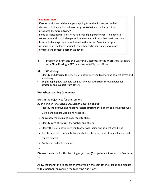#### **Facilitator Note**

If some participants did not apply anything from the first session in their classroom, initiate a discussion on why not (What are the barriers that prevented them from trying?).

Some participants will likely have had challenging experiences – be open to conversations about challenges and request advice from other participants on how such challenges can be addressed in the future. Do not attempt to respond to all challenges yourself; the other participants may have more concrete and context-appropriate advice.

e. Present the Aim and the Learning Outcomes of the Workshop (prepare on a Slide if using a PPT or a Handout/Flipchart if not)

#### **Aim of Workshop**

- Identify and describe the inter-relationship between teacher and student stress and well-being
- Begin shaping how teachers can positively react to stress through personal strategies and support from others

#### **Workshop Learning Outcomes:**

Explain the objectives for the session:

*By the end of this session, participants will be able to:* 

- $\rightarrow$  Identify the positive and negative factors affecting their ability to do their job well
- $\rightarrow$  Define and explore well-being holistically
- $\rightarrow$  Know how the brain and body react to stress
- $\rightarrow$  Identify signs of stress in themselves and others
- $\rightarrow$  Clarify the relationship between teacher well-being and student well-being
- $\rightarrow$  Identify and differentiate between what teachers can control, can influence, and cannot control
- $\rightarrow$  Apply knowledge to scenarios
- $\rightarrow$

Discuss the rubric for this learning objectives (Competency Standard in Resource 1)

Allow teachers time to assess themselves on the competency areas and discuss with a partner; answering the following questions: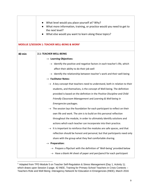|               | What level would you place yourself at? Why?                                            |  |  |
|---------------|-----------------------------------------------------------------------------------------|--|--|
|               | What more information, training, or practice would you need to get to                   |  |  |
|               | the next level?                                                                         |  |  |
|               | What else would you want to learn along these topics?                                   |  |  |
|               | MODLUE 2/SESSION 1: TEACHER WELL-BEING & WORK <sup>1</sup>                              |  |  |
|               |                                                                                         |  |  |
| <b>40 min</b> | <b>2.1: TEACHER WELL-BEING</b>                                                          |  |  |
|               | $\rightarrow$ Learning Objectives:                                                      |  |  |
|               | $\rightarrow$ Identify the positive and negative factors in each teacher's life, which  |  |  |
|               | affect their ability to do their job well                                               |  |  |
|               | $\rightarrow$ Identify the relationship between teacher's work and their well-being     |  |  |
|               | $\rightarrow$ Facilitator Notes:                                                        |  |  |
|               | $\rightarrow$ A key concept that teachers need to understand, both in relation to their |  |  |
|               | students, and themselves, is the concept of Well-being. The definition                  |  |  |
|               | provided is based on the definition in the Positive Discipline and Child-               |  |  |
|               | Friendly Classroom Management and Learning & Well-being in                              |  |  |
|               | Emergencies packages.                                                                   |  |  |
|               | $\rightarrow$ The session lays the foundation for each participant to reflect on their  |  |  |
|               | own life and work. The aim is to build on this personal reflection                      |  |  |
|               | throughout the module, in order to ultimately identify solutions and                    |  |  |
|               | actions which each teacher can incorporate into their practice.                         |  |  |
|               | $\rightarrow$ It is important to reinforce that the modules are safe spaces, and that   |  |  |
|               | reflection should be honest and personal, but that participants need only               |  |  |
|               | share with the group what they feel comfortable sharing.                                |  |  |
|               | <b>Preparation:</b><br>$\rightarrow$                                                    |  |  |
|               | $\rightarrow$ Prepare a flipchart with the definition of 'Well-being' provided below    |  |  |
|               | $\rightarrow$ Have a blank A4 sheet of paper and pen/pencil for each participant        |  |  |
|               |                                                                                         |  |  |

<sup>&</sup>lt;sup>1</sup> Adapted from TPD Module 5 on Teacher Self-Regulation & Stress Management (Day 1, Activity 1); which draws upon Session 3 page. 42 INEE, Training for Primary School Teachers in Crisis Contexts -Teachers Role and Well Being -Interagency Network for Education in Emergencies (INEE), March 2016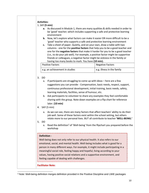#### **Activities:**

#### 1. SAY **(5 min)**

- **a.** As discussed in Module 1, there are many qualities & skills needed in order to be 'good' teacher; which includes supporting a safe and protective learning environment
- **b.** Now, let's explore what factors can make it easier OR more difficult to be a 'good' teacher who supports a safe and protective learning environment
- **c.** Take a sheet of paper. Quietly, and on your own, draw a table with two columns - one for the **positive factors** that help you to be a good teacher and one for the **negative factors** that make it harder for you to be a good teacher (i.e., to do your job well). For example, a positive factor might be supportive friends or colleagues, a negative factor might be sickness in the family or having too many books to mark. You have **(10 min).**

| <b>Positive Factors</b>        | <b>Negative Factors</b>    |
|--------------------------------|----------------------------|
| e.g. an achievement in studies | e.g. illness in the family |

#### 3. DO

- a. If participants are struggling to come up with ideas here are a few suggestions you can provide - Compensation, basic needs, respect, support, continuous professional development, initial training, basic needs, safety, learning materials, facilities, sense of humour, etc.
- b. Ask participants to volunteer to share any examples they feel comfortable sharing with the group. Note down examples on a flip chart for reference later. **(10 min)**
- 4. SAY (5 min)
	- a. As we can see, there are many factors that affect teachers' ability to do their job well. Some of these factors exist within the school setting, but others relate more to our personal lives. BUT all contribute to teacher **'WELL-BEING.'**
- 5. DO
	- a. Read the definition<sup>2</sup> of 'Well-being' from the flipchart you prepared before the workshop

#### **Definition -**

Well-being does not only refer to our physical health. It also refers to our emotional, social, and mental health. Well-being includes what is good for a person in many different ways. For example, it might include participating in a meaningful social role, feeling happy and hopeful, living according to your values, having positive social relations and a supportive environment, and feeling capable of dealing with challenges.

**Facilitator Note:**

<sup>2</sup> Note: Well-being definition merges definition provided in the Positive Discipline and LWiE packages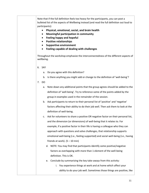Note that if the full definition feels too heavy for the participants, you can post a bulleted list of the aspects of Wellbeing instead (and read the full definition out loud to participants):

- **Physical, emotional, social, and brain health**
- **Meaningful participation in community**
- **Feeling happy and hopeful**
- **Positive relationships**
- **Supportive environment**
- **Feeling capable of dealing with challenges**

Throughout the workshop emphasize the interconnectedness of the different aspects of wellbeing.

- 6. SAY
	- a. Do you agree with this definition?
	- b. Is there anything you might add or change to the definition of 'well-being'?
- 7. DO
	- a. Note down any additional points that the group agrees should be added to the definition of 'well-being'. Try to reference some of the points added by the group in examples used in the remainder of the session.
	- b. Ask participants to return to their personal list of 'positive' and 'negative' factors affecting their ability to do their job well. Then ask them to look at the definition of well-being.
	- c. Ask for volunteers to share a positive OR negative factor on their personal list, and the dimension (or dimensions) of well-being that it relates to. For example, if a positive factor in their life is having a colleague who they can approach with questions and solve challenges, that relationship supports emotional well-being (i.e., feeling supported) and social well-being (i.e., having friends at work).  $(5 - 10 \text{ min})$ 
		- d. NOTE: You may find that participants identify some positive/negative factors as overlapping with more than 1 element of the well-being definition. This is OK.
		- e. Conclude by summarizing the key take-aways from this activity:
			- i. You experience things at work and at home which affect your ability to do your job well. Sometimes those things are positive, like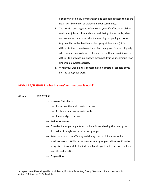|               | a supportive colleague or manager, and sometimes those things are<br>negative, like conflict or violence in your community.<br>The positive and negative influences in your life affect your ability<br>ii.<br>to do your job and ultimately your well-being. For example, when<br>you are scared or worried about something happening at home<br>(e.g., conflict with a family member, gang violence, etc.), it is<br>difficult to then come to work and feel happy and focused. Equally, |
|---------------|--------------------------------------------------------------------------------------------------------------------------------------------------------------------------------------------------------------------------------------------------------------------------------------------------------------------------------------------------------------------------------------------------------------------------------------------------------------------------------------------|
|               | when you feel overwhelmed at work (e.g., with marking), it can be<br>difficult to do things like engage meaningfully in your community or                                                                                                                                                                                                                                                                                                                                                  |
|               | undertake physical exercise.                                                                                                                                                                                                                                                                                                                                                                                                                                                               |
|               | iii.<br>When your well-being is compromised it affects all aspects of your                                                                                                                                                                                                                                                                                                                                                                                                                 |
|               | life, including your work.                                                                                                                                                                                                                                                                                                                                                                                                                                                                 |
|               |                                                                                                                                                                                                                                                                                                                                                                                                                                                                                            |
|               | MODULE 2/SESSION 2: What is 'stress' and how does it work? <sup>3</sup>                                                                                                                                                                                                                                                                                                                                                                                                                    |
|               |                                                                                                                                                                                                                                                                                                                                                                                                                                                                                            |
| <b>40 min</b> | 2.2: STRESS                                                                                                                                                                                                                                                                                                                                                                                                                                                                                |
|               | $\rightarrow$ Learning Objectives:                                                                                                                                                                                                                                                                                                                                                                                                                                                         |
|               | Know how the brain reacts to stress                                                                                                                                                                                                                                                                                                                                                                                                                                                        |
|               | $\rightarrow$ Explain how stress impacts our body                                                                                                                                                                                                                                                                                                                                                                                                                                          |
|               | Identify signs of stress                                                                                                                                                                                                                                                                                                                                                                                                                                                                   |
|               | <b>Facilitator Notes:</b>                                                                                                                                                                                                                                                                                                                                                                                                                                                                  |
|               | $\rightarrow$ Consider if your participants would benefit from having the small group                                                                                                                                                                                                                                                                                                                                                                                                      |
|               | discussions in single sex or mixed sex groups.                                                                                                                                                                                                                                                                                                                                                                                                                                             |
|               | $\rightarrow$ Refer back to factors affecting well-being that participants raised in                                                                                                                                                                                                                                                                                                                                                                                                       |
|               | previous session. While this session includes group activities, continue to                                                                                                                                                                                                                                                                                                                                                                                                                |
|               | bring discussions back to the individual participant and reflections on their                                                                                                                                                                                                                                                                                                                                                                                                              |
|               | own life and practice.<br><b>Preparation:</b><br>$\rightarrow$                                                                                                                                                                                                                                                                                                                                                                                                                             |

<sup>&</sup>lt;sup>3</sup> Adapted from Parenting without Violence, Positive Parenting Group Session 1.3 (can be found in section 6.1.A of the PwV Toolkit)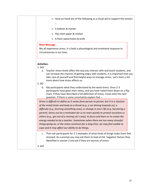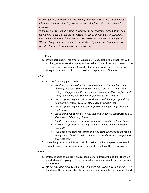*In emergencies, or when life is challenging for other reasons (use the examples which participants raised in previous session), this frustration and stress will increase.* 

*When we are stressed, it is difficult for us to stay in control of our emotions and we may do things that we did not intend to such as shouting at, or punishing, our students. However, it is important we understand that we can change this. We can change how we respond to our students by understanding how stress can affect us, and learning ways to cope with it.*

#### 4. DO (15 min)

d. Divide participants into small groups (e.g., 4-6 people). Explain that they will work together to consider the questions below. You will read each question one at a time, and allow around 3 minutes for participant discussions in between the questions and ask them to note down response on a flipchart.

#### 5. ASK

- e. Ask the following questions
	- *What are the day to day things children may do (both actions and showing emotions) that cause teachers to feel stressed? E.g. child crying, child fighting with other children, leaving stuff on the floor, not doing homework, not asking or responding to questions, etc.*
	- *What happens to your body when those stressful things happen? E.g. heart rate increases, perspire, talk loudly and quickly etc.*
	- *What happens to your emotions or feelings? E.g. feel angry, nervous, frustrated etc.*
	- *What might you say or do to your students when you are stressed? E.g. shout, call child names, hit child.*
	- *Are there differences in the ways you may respond to girls and boys?*
	- *Are there differences in the ways in which female and male teachers respond?*
	- *If you could manage your stress and stay calm, what else could you do with your students? How do you think your students would respond to these actions?*
- f. Once the groups have finished their discussions, invite one person from each group to give a short presentation to share the results of their discussions.

#### 6. SAY

- a. Different parts of our brain are responsible for different things. Plus there is a physical reaction going on in our brain when we are stressed which influences how we react.
- b. *(Show your open hand to the group, and fold your thumb over your palm).* If my hand were the brain, my thumb, or the amygdala, would be the emotional part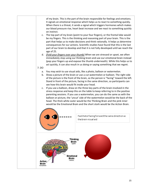of my brain. This Is the part of the brain responsible for feelings and emotions. It signals an emotional response which helps us to react to something quickly. When there is a threat, it sends a signal which triggers hormones which makes our blood pressure rise, heart beat increase and we react to something quickly on instinct.

- c. The top part of my brain (point to your four fingers), or the frontal lobe would be my fingers. This is the thinking and reasoning part of your brain. This is the part that helps us to make decisions and think rationally. It helps us determine consequences for our actions. Scientific studies have found that this is the last part of our brain to develop and that it is not fully developed until we reach the age of 25.
- d. *(Fold your fingers over your thumb)* When we are stressed or upset, we often immediately stop using our thinking brain and use our emotional brain instead (pop your fingers up and expose the thumb underneath). While this helps us to act quickly, it can also result in us doing or saying something that we regret.

#### 7. DO

- a. You may wish to use visual aids, like a photo, balloon or watermelon.
- b. Show a picture of the brain or use a cut watermelon or balloon. The right side of the picture is the front of the brain, so the person is "facing" toward the left. Stand in front of the picture, facing in the same direction, so participants can see how this brain would fit inside your head.
- c. If you use a balloon, draw on the three key parts of the brain involved in the stress response and keep this on the table to keep referring to in the positive parenting sessions. If you use a watermelon, you can do the same as with the balloon or picture, the 'uncut' side of the watermelon would be the back of the head. The thick white outer would be the Thinking Brain and the pink inner would be the Emotional Brain and the short stork would be the Action Brain.

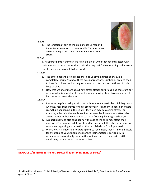

<sup>4</sup> Positive Discipline and Child- Friendly Classroom Management, Module 5, Day 1, Activity 3 – *What are signs of Stress?*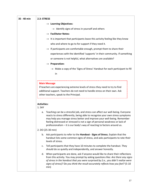| 35 - 40 min | 2.3: STRESS                                                                                                                                                                                                                                                                                                                                                                                                    |  |
|-------------|----------------------------------------------------------------------------------------------------------------------------------------------------------------------------------------------------------------------------------------------------------------------------------------------------------------------------------------------------------------------------------------------------------------|--|
|             | $\rightarrow$ Learning Objectives:                                                                                                                                                                                                                                                                                                                                                                             |  |
|             | $\rightarrow$ Identify signs of stress in yourself and others                                                                                                                                                                                                                                                                                                                                                  |  |
|             | $\rightarrow$ Facilitator Notes:                                                                                                                                                                                                                                                                                                                                                                               |  |
|             | $\rightarrow$ It is important that participants leave this activity feeling like they know                                                                                                                                                                                                                                                                                                                     |  |
|             | who and where to go to for support if they need it.                                                                                                                                                                                                                                                                                                                                                            |  |
|             | $\rightarrow$ If participants are comfortable enough, prompt them to share their                                                                                                                                                                                                                                                                                                                               |  |
|             | experiences with the identified 'supports' in their community. If something                                                                                                                                                                                                                                                                                                                                    |  |
|             | or someone is not helpful, what alternatives are available?                                                                                                                                                                                                                                                                                                                                                    |  |
|             | $\rightarrow$ Preparation:                                                                                                                                                                                                                                                                                                                                                                                     |  |
|             | $\rightarrow$ Make a copy of the 'Signs of Stress' Handout for each participant to fill                                                                                                                                                                                                                                                                                                                        |  |
|             | in                                                                                                                                                                                                                                                                                                                                                                                                             |  |
|             |                                                                                                                                                                                                                                                                                                                                                                                                                |  |
|             | <b>Main Message</b><br>If teachers are experiencing extreme levels of stress they need to try to find<br>additional support. Teachers do not need to handle stress on their own. Ask<br>other teachers, speak to the Principal.                                                                                                                                                                                |  |
|             | <b>Activities:</b><br>1. SAY                                                                                                                                                                                                                                                                                                                                                                                   |  |
|             | Teaching can be a stressful job, and stress can affect our well-being. Everyone<br>a.<br>reacts to stress differently, being able to recognize your own stress symptoms<br>may help you manage stress better and improve your well-being. Remember<br>feeling distressed or stressed is not a sign of personal weakness or lack of<br>professionalism – it is our body's way of reacting to factors around us. |  |
|             | 2. DO (25-30 min)                                                                                                                                                                                                                                                                                                                                                                                              |  |
|             | b. Ask participants to refer to the Handout - Signs of Stress. Explain that the<br>handout lists some common signs of stress, and asks participants to rate their<br>levels of stress.                                                                                                                                                                                                                         |  |
|             | Tell participants that they have 10 minutes to complete the handout. They<br>c.<br>should do so quietly and independently, and answer honestly.                                                                                                                                                                                                                                                                |  |
|             | When participants are done, ask if anyone would like to share their reflections<br>d.<br>from this activity. You may prompt by asking questions like: Are there any signs<br>of stress in the handout that you were surprised by (i.e., you didn't realize were<br>signs of stress)? Do you think the result accurately reflects how you feel? (5-10<br>min)                                                   |  |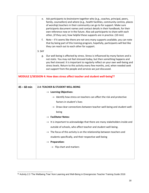|               | e. Ask participants to brainstorm together who (e.g., coaches, principal, peers,<br>family, counsellors) and where (e.g., health facilities, community centres, places<br>of worship) teachers in their community can go to for support. Make sure<br>participants document names and contact details in their handbook, for their<br>own reference now or in the future. Also ask participants to share with each<br>other, (if they can), how helpful these supports are in practice. (10 min) |  |  |
|---------------|--------------------------------------------------------------------------------------------------------------------------------------------------------------------------------------------------------------------------------------------------------------------------------------------------------------------------------------------------------------------------------------------------------------------------------------------------------------------------------------------------|--|--|
|               | f.<br>Note – if it seems like there are not very many supports available, you can note<br>that by being part of this training program, hopefully, participants will feel like<br>they can reach out to each other for support.                                                                                                                                                                                                                                                                   |  |  |
|               | 3. SAY                                                                                                                                                                                                                                                                                                                                                                                                                                                                                           |  |  |
|               | Our well-being is affected by stress. Stress is influenced by many factors and is<br>g.<br>not static. You may not feel stressed today, but then something happens and<br>you feel stressed. It is important to regularly reflect on your own well-being and<br>stress levels. Return to this activity every few months, and, when needed seek<br>out support from the people and services we just discussed.                                                                                    |  |  |
|               | MODULE 2/SESSION 4: How does stress affect teacher and student well-being <sup>5</sup> ?                                                                                                                                                                                                                                                                                                                                                                                                         |  |  |
| $45 - 60$ min | 2.4: TEACHER & STUDENT WELL-BEING                                                                                                                                                                                                                                                                                                                                                                                                                                                                |  |  |
|               | $\rightarrow$ Learning Objectives:                                                                                                                                                                                                                                                                                                                                                                                                                                                               |  |  |
|               | $\rightarrow$ Identify how stress on teachers can affect the risk and protective                                                                                                                                                                                                                                                                                                                                                                                                                 |  |  |
|               | factors in student's lives                                                                                                                                                                                                                                                                                                                                                                                                                                                                       |  |  |
|               | $\rightarrow$ Draw clear connections between teacher well-being and student well-                                                                                                                                                                                                                                                                                                                                                                                                                |  |  |
|               | being                                                                                                                                                                                                                                                                                                                                                                                                                                                                                            |  |  |
|               | $\rightarrow$ Facilitator Notes:                                                                                                                                                                                                                                                                                                                                                                                                                                                                 |  |  |
|               | $\rightarrow$ It is important to acknowledge that there are many stakeholders inside and                                                                                                                                                                                                                                                                                                                                                                                                         |  |  |
|               | outside of schools, who affect teacher and student well-being.                                                                                                                                                                                                                                                                                                                                                                                                                                   |  |  |
|               | $\rightarrow$ The focus of this activity is on the relationship between teachers and                                                                                                                                                                                                                                                                                                                                                                                                             |  |  |
|               | students specifically, and their respective well-being                                                                                                                                                                                                                                                                                                                                                                                                                                           |  |  |
|               | $\rightarrow$ Preparation:                                                                                                                                                                                                                                                                                                                                                                                                                                                                       |  |  |
|               | $\rightarrow$ Flip chart and markers                                                                                                                                                                                                                                                                                                                                                                                                                                                             |  |  |
|               |                                                                                                                                                                                                                                                                                                                                                                                                                                                                                                  |  |  |

<sup>55</sup> Activity 2.3 'The Wellbeing Tree' from Learning and Well-Being in Emergencies Teacher Training Guide 2018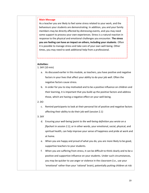#### **Main Message**

As a teacher you are likely to feel some stress related to your work, and the behaviours your students are demonstrating. In addition, you and your family members may be directly affected by distressing events, and you may need some support to process your own experiences. Stress is a natural reaction in response to the physical and emotional challenges you encounter. **The stress you are feeling can have an impact on others, including your students**. Often it is possible to manage stress and take care of your own well-being. Other times, you may need to seek additional help from a professional.

#### **Activities:**

1. SAY (10 min)

- a. As discussed earlier in this module, as teachers, you have positive and negative factors in your lives that affect your ability to do your job well. Often the negative factors cause stress.
- b. In order for you to stay motivated and to be a positive influence on children and their learning, it is important that you build up the positive factors and address those, which are having a negative effect on your well-being.

#### 2. DO

c. Remind participants to look at their personal list of positive and negative factors affecting their ability to do their job well (session 2.1)

#### 3. SAY

- d. Ensuring your well-being (*point to the well-being definition you wrote on a flipchart in session 2.1)*, or in other words, your emotional, social, physical, and spiritual health, can help improve your sense of happiness and pride at work and at home.
- e. When you are happy and proud of what you do, you are more likely to be good, supportive teachers to your students.
- f. When you are suffering from stress, it can be difficult to think clearly and to be a positive and supportive influence on your students. Under such circumstances, you may be quicker to use anger or violence in the classroom (i.e., use your 'emotional' rather than your 'rational' brain), potentially putting children at risk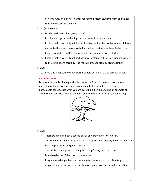of harm. And/or making it harder for you to protect students from additional risks and hazards in their lives.

- 4. DO (20 30 min)
	- a. Divide participants into groups of 4-5.
	- b. Provide each group with a flipchart paper and some markers.
	- c. Explain that this activity will look at the risks and protective factors for children, and while there are many stakeholders who contribute to these factors, the focus here will be on the relationship between teachers and students.
	- d. Explain that this activity will include several steps. Instruct participants to listen to the instructions carefully – as you will proceed step-by-step together.
- 5. SAY:
	- e. Step One is for you to draw a large, simple outline of a tree on your paper.

#### **Facilitator Note**

Display an example of a large, simple tree at the front of the room. As you read each step of the instructions, add an example to the sample tree so that participants can visualize what you are describing. Feel free to use an example of a tree that is contextualized to the local environment (for example, a palm tree).



#### 6. SAY:

- f. Teachers can be a both a source of risk and protection for children.
- g. This tree will include examples of risks and protective factors, and how they can both be present in any given situation.
- h. You will be drawing and labelling the stump/roots, the trunk, the branches/leaves of the tree, and the fruits.
- i. Imagine a challenge that your community has faced, or could face (e.g., displacement, a hurricane, an earthquake, gang violence, armed occupation,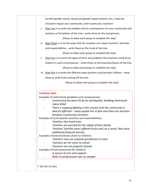|    | harmful gender norms, sexual and gender-based violence, etc.). How has                                                                      |
|----|---------------------------------------------------------------------------------------------------------------------------------------------|
|    |                                                                                                                                             |
|    | it/could it impact your community, and in particular, teachers?                                                                             |
| j. | Step Two is to write the problem and its consequences for your community and                                                                |
|    | teachers at the bottom of the tree - write these on the stump/roots.                                                                        |
|    |                                                                                                                                             |
|    | [Pause to allow each group to complete the step]                                                                                            |
|    | k. Step Three is to list the ways that the situation can impact teachers' priorities                                                        |
|    | and responsibilities - write these on the trunk of the tree.                                                                                |
|    | [Pause to allow each group to complete the step]                                                                                            |
| I. | Step Four is to write the types of harm and problems that teachers could do to                                                              |
|    | children in such circumstances - write these on the branches/leaves of the tree.                                                            |
|    | [Pause to allow each group to complete the step]                                                                                            |
|    |                                                                                                                                             |
|    | m. Step Five is to write the different ways teachers could protect children - draw                                                          |
|    |                                                                                                                                             |
|    | these as small fruits coming off the tree.                                                                                                  |
|    | [Pause to allow each group to complete the step]<br><b>Facilitator Note</b>                                                                 |
|    | Examples of roots/stump (problems and consequences):<br>Community has been hit by an earthquake, buildings destroyed,                       |
|    | many killed                                                                                                                                 |
|    | There is ongoing fighting in the country and the community is                                                                               |
|    |                                                                                                                                             |
|    | between community members                                                                                                                   |
|    | Examples of trunk (teacher priorities and responsibilities):                                                                                |
|    | directly affected – many people live in fear and there are tensions<br>Teachers lose loved ones                                             |
|    | Teachers are worried for the safety of their family                                                                                         |
|    |                                                                                                                                             |
|    | additional financial worries<br>Examples of branches/leaves (harm to children):                                                             |
|    | Teachers may use corporal punishment in class                                                                                               |
|    | Teachers do not come to school                                                                                                              |
|    | Teachers are not properly trained                                                                                                           |
|    | Examples of fruits (protection for children):                                                                                               |
|    | Teachers' families have suffered losses and, as a result, they have<br>A source of care and support<br>Refer to professional care as needed |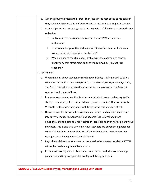|  |    | а. | Ask one group to present their tree. Then just ask the rest of the participants if |
|--|----|----|------------------------------------------------------------------------------------|
|  |    |    | they have anything 'new' or different to add based on their group's discussion.    |
|  |    | b. | As participants are presenting and discussing ask the following to prompt deeper   |
|  |    |    | reflection;                                                                        |
|  |    |    | Under what circumstances is a teacher harmful? When are they<br>i.                 |
|  |    |    | protectors?                                                                        |
|  |    |    | ii. How do teacher priorities and responsibilities affect teacher behaviour        |
|  |    |    | towards students (harmful vs. protector)?                                          |
|  |    |    | When looking at the challenges/problems in the community, can you<br>iii.          |
|  |    |    | identify any that affect most or all of the community (i.e., not just              |
|  |    |    | teachers)?                                                                         |
|  | 8. |    | SAY (5 min)                                                                        |
|  |    |    | c. When thinking about teacher and student well-being, it is important to take a   |
|  |    |    | step back and look at the whole picture (i.e., the roots, trunk, branches/leaves,  |
|  |    |    | and fruit). This helps us to see the interconnection between all the factors in    |
|  |    |    | teachers' and students' lives.                                                     |
|  |    | d. | In some cases, we can see that teachers and students are experiencing similar      |
|  |    |    | stress; for example, after a natural disaster, armed conflict/attack on schools).  |
|  |    |    | When this is the case, everyone's well-being in the community is at risk.          |
|  |    | e. | However, we also know that this is when our brains, and children's brains, go      |
|  |    |    | into survival mode. Responses/actions become less rational and more                |
|  |    |    | emotional, and the potential for frustration, conflict and even harmful behaviour  |
|  |    |    | increases. This is also true when individual teachers are experiencing personal    |
|  |    |    | stress which others may not (i.e., loss of a family member, an unsupportive        |
|  |    |    | manager, sexual and gender-based violence).                                        |
|  |    | f. | Regardless, children must always be protected. Which means, student AS WELL        |
|  |    |    | AS teacher well-being should be a priority.                                        |
|  |    | g. | In the next session, we will discuss and brainstorm practical ways to manage       |
|  |    |    | your stress and improve your day-to-day well-being and work.                       |
|  |    |    |                                                                                    |
|  |    |    |                                                                                    |

### **MODULE 2/ SESSION 5: Identifying, Managing and Coping with Stress**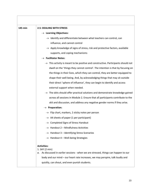| 145 min | <b>2.5: DEALING WITH STRESS</b>                                                                                                                                           |  |  |  |  |  |
|---------|---------------------------------------------------------------------------------------------------------------------------------------------------------------------------|--|--|--|--|--|
|         | $\rightarrow$ Learning Objectives:                                                                                                                                        |  |  |  |  |  |
|         | $\rightarrow$ Identify and differentiate between what teachers can control, can                                                                                           |  |  |  |  |  |
|         | influence, and cannot control                                                                                                                                             |  |  |  |  |  |
|         | $\rightarrow$ Apply knowledge of signs of stress, risk and protective factors, available                                                                                  |  |  |  |  |  |
|         | supports, and coping mechanisms                                                                                                                                           |  |  |  |  |  |
|         | $\rightarrow$ Facilitator Notes:                                                                                                                                          |  |  |  |  |  |
|         | This activity is meant to be positive and constructive. Participants should not<br>$\rightarrow$                                                                          |  |  |  |  |  |
|         | dwell on the 'things they cannot control'. The intention is that by focusing on                                                                                           |  |  |  |  |  |
|         | the things in their lives, which they can control, they are better equipped to                                                                                            |  |  |  |  |  |
|         | shape their well-being. And, by acknowledging things that may sit outside                                                                                                 |  |  |  |  |  |
|         | their direct 'sphere of influence', they can begin to identify and access                                                                                                 |  |  |  |  |  |
|         | external support when needed.                                                                                                                                             |  |  |  |  |  |
|         | $\rightarrow$ The skits should offer practical solutions and demonstrate knowledge gained                                                                                 |  |  |  |  |  |
|         | across all sessions in Module 2. Ensure that all participants contribute to the                                                                                           |  |  |  |  |  |
|         | skit and discussion, and address any negative gender norms if they arise.                                                                                                 |  |  |  |  |  |
|         | $\rightarrow$ Preparation:                                                                                                                                                |  |  |  |  |  |
|         | $\rightarrow$ Flip chart, markers, 2 sticky notes per person                                                                                                              |  |  |  |  |  |
|         | $\rightarrow$ A4 sheets of paper (1 per participant)                                                                                                                      |  |  |  |  |  |
|         | $\rightarrow$ Completed Signs of Stress Handout                                                                                                                           |  |  |  |  |  |
|         | $\rightarrow$ Handout 2 – Mindfulness Activities                                                                                                                          |  |  |  |  |  |
|         | $\rightarrow$ Handout 3 – Identifying Stress Scenarios                                                                                                                    |  |  |  |  |  |
|         | $\rightarrow$ Handout 4 – Well-being Strategies                                                                                                                           |  |  |  |  |  |
|         | <b>Activities:</b><br>1. SAY (2 min)                                                                                                                                      |  |  |  |  |  |
|         | As discussed in earlier sessions - when we are stressed, things can happen to our<br>а.<br>body and our mind - our heart rate increases, we may perspire, talk loudly and |  |  |  |  |  |
|         | quickly, can shout, and even punish students.                                                                                                                             |  |  |  |  |  |

I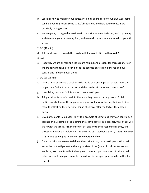| b.     | Learning how to manage your stress, including taking care of your own well-being,     |
|--------|---------------------------------------------------------------------------------------|
|        | can help you to prevent some stressful situations and help you to react more          |
|        | positively during others.                                                             |
| c.     | We are going to begin this session with two Mindfulness Activities, which you may     |
|        | wish to use in your day to day lives, and even with your students to help cope with   |
|        | stress.                                                                               |
|        | 2. DO (10 min)                                                                        |
| d.     | Take participants through the two Mindfulness Activities on Handout 2                 |
| 3. SAY |                                                                                       |
| e.     | Hopefully we are all feeling a little more relaxed and present for this session. Now  |
|        | we are going to take a closer look at the sources of stress in our lives and our      |
|        | control and influence over them.                                                      |
|        | 3. DO (20-25 min)                                                                     |
| f.     | Draw a large circle and a smaller circle inside of it on a flipchart paper. Label the |
|        | larger circle 'What I can't control' and the smaller circle 'What I can control'.     |
| g.     | If available, pass out 2 sticky notes to each participant.                            |
| h.     | Ask participants to refer back to the table they created during session 1. Ask        |
|        | participants to look at the negative and positive factors affecting their work. Ask   |
|        | them to reflect on their personal sense of control offer the factors they noted       |
|        | down.                                                                                 |
| i.     | Give participants (5 minutes) to write 1 example of something they can control as a   |
|        | teacher and 1 example of something they can't control as a teacher, which they will   |
|        | share with the group. Ask them to reflect and write their responses silently, and     |
|        | choose examples that relate most to their job as a teacher. Note - If they are having |
|        | a hard time coming up with ideas, see diagram below.                                  |
| j.     | Once participants have noted down their reflections, have participants stick their    |
|        | examples on the flip chart in the appropriate circle. (Note: if sticky notes are not  |
|        | available, ask them to reflect silently and then call upon volunteers to share their  |
|        | reflections and then you can note them down in the appropriate circle on the flip     |
|        | chart.)                                                                               |
|        |                                                                                       |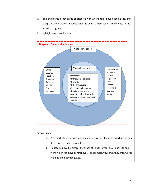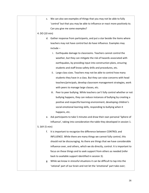| We can also see examples of things that you may not be able to fully<br>c.       |
|----------------------------------------------------------------------------------|
| 'control' but that you may be able to influence or react more positively to.     |
| Can you give me some examples?                                                   |
| 4. DO (10 min)                                                                   |
| Gather response from participants, and put a star beside the items where<br>d.   |
| teachers may not have control but do have influence. Examples may                |
| include-                                                                         |
| Earthquake damage to classrooms. Teachers cannot control the<br>i.               |
| weather, but they can mitigate the risk of hazards associated with               |
| earthquakes, by providing input into construction plans, ensuring                |
| students and staff know safety drills and procedures, etc.                       |
| Large class sizes. Teachers may not be able to control how many<br>ii.           |
| students they have in a class. But they can raise concerns with head             |
| teachers/principals, develop classroom management strategies, work               |
| with peers to manage large classes, etc.                                         |
| Peer to peer bullying. While teachers can't fully control whether or not<br>iii. |
| bullying happens, they can reduce instances of bullying by creating a            |
| positive and respectful learning environment, developing children's              |
| social emotional learning skills, responding to bullying when it                 |
| happens, etc.                                                                    |
| Ask participants to take 5 minutes and draw their own personal 'Sphere of<br>е.  |
| Influence', taking into consideration the table they developed in session 1.     |
| 5. SAY (5 min)                                                                   |
| f.<br>It is important to recognize the difference between CONTROL and            |
| INFLUENCE. While there are many things we cannot fully control, this             |
| should not be discouraging. As there are things that we have considerable        |
| influence over, and others, which we do directly, control. It is important to    |
| focus on these things and to seek support from others as needed (refer           |
| back to available support identified in session 3).                              |
| While we know in stressful situations it can be difficult to tap into the<br>g.  |
| 'rational' part of our brain and not let the 'emotional' part take over;         |
|                                                                                  |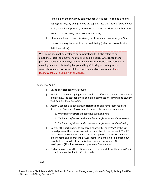|                                         | reflecting on the things you can influence versus control can be a helpful                                                                                                                                                                                                                                                                                                                                                                                  |
|-----------------------------------------|-------------------------------------------------------------------------------------------------------------------------------------------------------------------------------------------------------------------------------------------------------------------------------------------------------------------------------------------------------------------------------------------------------------------------------------------------------------|
|                                         | coping strategy. By doing so, you are tapping into the 'rational' part of your                                                                                                                                                                                                                                                                                                                                                                              |
|                                         | brain, and it is supporting you to make reasoned decisions about how you                                                                                                                                                                                                                                                                                                                                                                                    |
|                                         | react to, and address, the stress you are facing.                                                                                                                                                                                                                                                                                                                                                                                                           |
|                                         | h. Ultimately, how you react to stress, i.e., how you access what you CAN                                                                                                                                                                                                                                                                                                                                                                                   |
|                                         | control, is a very important to your well-being (refer back to well-being                                                                                                                                                                                                                                                                                                                                                                                   |
|                                         | definition below).                                                                                                                                                                                                                                                                                                                                                                                                                                          |
|                                         | Well-being does not only refer to our physical health. It also refers to our<br>emotional, social, and mental health. Well-being includes what is good for a<br>person in many different ways. For example, it might include participating in a<br>meaningful social role, feeling happy and hopeful, living according to your<br>values, having positive social relations and a supportive environment, and<br>feeling capable of dealing with challenges. |
| 6. DO ( $60 \text{ min}$ ) <sup>6</sup> |                                                                                                                                                                                                                                                                                                                                                                                                                                                             |
| i.                                      | Divide participants into 3 groups                                                                                                                                                                                                                                                                                                                                                                                                                           |
| j.                                      | Explain that they are going to each look at a different teacher scenario. And<br>explore how the teacher's well-being might impact on learning and student<br>well-being in the classroom.                                                                                                                                                                                                                                                                  |
| k.                                      | Assign 1 scenario to each group (Handout 3), and have them read and<br>discuss for (5 minutes). Ask them to answer the following questions -                                                                                                                                                                                                                                                                                                                |
|                                         | 1. What signs of stress the teachers are displaying.                                                                                                                                                                                                                                                                                                                                                                                                        |
|                                         | 2. The impact of stress on the teacher's performance in the classroom.                                                                                                                                                                                                                                                                                                                                                                                      |
|                                         | 3. The impact of stress on the students' performance and well-being.                                                                                                                                                                                                                                                                                                                                                                                        |
| $\mathsf{L}$                            | Now ask the participants to prepare a short skit. The 1 <sup>st</sup> 'act' of the skit<br>should present the current scenario as described in the handout. The 2nd<br>'act' should present how the teacher can cope with the stress they are<br>experiencing and improve their well-being. This should also include how<br>stakeholders outside of the individual teacher can support. Give<br>participants (10 minutes) to each prepare a 5-minute skit.  |
|                                         | m. Each group presents their skit and receives feedback from the group (5 min<br>skit + 5 min feedback $x$ 3 = 30 min total)                                                                                                                                                                                                                                                                                                                                |
| 7. SAY                                  |                                                                                                                                                                                                                                                                                                                                                                                                                                                             |
|                                         |                                                                                                                                                                                                                                                                                                                                                                                                                                                             |

<sup>6</sup> From Positive Discipline and Child- Friendly Classroom Management, Module 5, Day 1, Activity 2 – *Why is Teacher Well-Being Important?*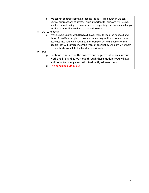| n. We cannot control everything that causes us stress; however, we can<br>control our reactions to stress. This is important for our own well-being,<br>and for the well-being of those around us, especially our students. A happy<br>teacher is more likely to have a happy classroom.                                                                                    |
|-----------------------------------------------------------------------------------------------------------------------------------------------------------------------------------------------------------------------------------------------------------------------------------------------------------------------------------------------------------------------------|
| DO (12 minutes)                                                                                                                                                                                                                                                                                                                                                             |
| o. Provide participants with <b>Handout 4</b> . Ask them to read the handout and<br>think of specific examples of how and when they will incorporate these<br>activities into your daily routines. For example, write the names of the<br>people they will confide in, or the types of sports they will play. Give them<br>10 minutes to complete the handout individually. |
| 9. SAY                                                                                                                                                                                                                                                                                                                                                                      |
| p. Continue to reflect on the positive and negative influences in your<br>work and life, and as we move through these modules you will gain<br>additional knowledge and skills to directly address them.<br>q. This concludes Module 2.                                                                                                                                     |
|                                                                                                                                                                                                                                                                                                                                                                             |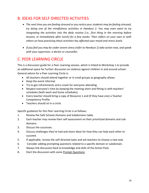# B. IDEAS FOR SELF-DIRECTED ACTIVITIES

- *The next time you are feeling stressed or you notice your students may be feeling stressed, try doing one of the mindfulness activities in Handout 2. You may even want to try integrating the activities into the daily routine (i.e., first thing in the morning before lessons, or immediately after lunch) for a few weeks. Then reflect on your own or with others on how practicing these activities has affected your mood and stress levels.*
- *If you feel you may be under severe stress (refer to Handout 1) take action now, and speak with your supervisor, a doctor or counsellor.*

# C. PEER LEARNING CIRCLE

This is a discussion guide for a Peer Learning session, which is linked to Workshop 1 to provide an additional space for further discussion on violence against children in and around school. General advice for a Peer Learning Circle is:

- All teachers should attend together or in small groups as geography allows.
- Keep the event informal.
- Try to get refreshments and a snack for everyone attending.
- Respect everyone's time by keeping the meeting short and fitting in with teachers' schedules (both work and home schedules).
- Every teacher should bring a copy of Resource 1 and (if they have one) a Teacher Competency Profile.
- Teachers should sit in a circle.

Specific guidance for this Peer Learning Circle is as follows:

- 1. Review the Safe Schools Domains and Subdomains table.
- 2. Each teacher may review their self-assessment on their prioritized domains and subdomains.
- 3. Discuss the successes.
- 4. Discuss challenges they've had and share ideas for how they can help each other to succeed.
- 5. If applicable, review the self-directed tasks and ask teachers to choose a new task.
- 6. Consider adding prompting questions related to a specific domain or subdomain.
- 7. Always link discussion back to knowledge and skills of the Action Pack.
- 8. Start the discussion with some Prompt Questions: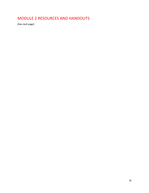# MODULE 2 RESOURCES AND HANDOUTS

(See next page)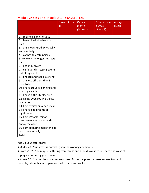|                                                       | <b>Never (Score</b><br>1) | Once a<br>month<br>(Score 2) | Often / once<br>a week<br>(Score 3) | <b>Always</b><br>(Score 4) |
|-------------------------------------------------------|---------------------------|------------------------------|-------------------------------------|----------------------------|
| 1. I feel tense and nervous                           |                           |                              |                                     |                            |
| 2. I have physical aches and                          |                           |                              |                                     |                            |
| pain                                                  |                           |                              |                                     |                            |
| 3. I am always tired, physically                      |                           |                              |                                     |                            |
| and mentally                                          |                           |                              |                                     |                            |
| 4. I cannot tolerate noises                           |                           |                              |                                     |                            |
| 5. My work no longer interests                        |                           |                              |                                     |                            |
| me                                                    |                           |                              |                                     |                            |
| 6. I act impulsively                                  |                           |                              |                                     |                            |
| 7. I can't get distressing events                     |                           |                              |                                     |                            |
| out of my mind                                        |                           |                              |                                     |                            |
| 8. I am sad and feel like crying                      |                           |                              |                                     |                            |
| 9. I am less efficient than I                         |                           |                              |                                     |                            |
| used to be                                            |                           |                              |                                     |                            |
| 10. I have trouble planning and                       |                           |                              |                                     |                            |
| thinking clearly                                      |                           |                              |                                     |                            |
| 11. I have difficulty sleeping                        |                           |                              |                                     |                            |
| 12. Doing even routine things                         |                           |                              |                                     |                            |
| is an effort                                          |                           |                              |                                     |                            |
| 13. I am cynical or very critical                     |                           |                              |                                     |                            |
| 14. I have bad dreams or                              |                           |                              |                                     |                            |
| nightmares                                            |                           |                              |                                     |                            |
| 15. I am irritable, minor                             |                           |                              |                                     |                            |
| inconveniences or demands                             |                           |                              |                                     |                            |
| annoy me a lot                                        |                           |                              |                                     |                            |
| 16. I am spending more time at<br>work than initially |                           |                              |                                     |                            |
| Total:                                                |                           |                              |                                     |                            |
|                                                       |                           |                              |                                     |                            |

### Module 2/ Session 5: Handout 1 - SIGNS OF STRESS

Add up your total score:

- Under 20: Your stress is normal, given the working conditions.
- From 21-35: You may be suffering from stress and should take it easy. Try to find ways of coping and reducing your stress.
- Above 36: You may be under severe stress. Ask for help from someone close to you. If possible, talk with your supervisor, a doctor or counsellor.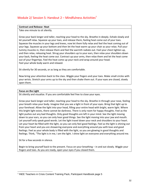### Module 2/ Session 5: Handout 2 – Mindfulness Activities<sup>7</sup>

#### **Contract and Release- Heat**

Take one minute to sit silently.

Grow your back longer and taller, reaching your head to the sky. Breathe in deeply. Exhale slowly and let yourself relax. Squeeze up your toes, and release them, feeling heat come out of your toes. Squeeze the muscles in your legs and knees, now let them fully relax and feel the heat coming out of your legs. Squeeze up your bottom and then let the heat warm up your chair as your relax. Pull your tummy muscles in, then release them and feel the warmth radiate out. Feel your chest tighten up, and then relax, releasing heat. Shrug your shoulders up to your ears, then relax your shoulders down your back, feeling the heat come out. Contract up your arms, then relax them and let the heat come out of your fingertips. Feel the heat come up your neck and wrap around your head. Feel your whole body warm and relaxed.

Sit silently for 30 seconds, or as long as they are comfortable.

Now bring your attention back to the class. Wiggle your fingers and your toes. Make small circles with your wrists. Stretch your arms up to the sky and then shake them out. If your eyes are closed, slowly open them.

#### **Focus on the Light**

Sit silently and visualize. If you are comfortable feel free to close your eyes.

Grow your back longer and taller, reaching your head to the sky. Breathe in through your nose, feeling your breath relax your body. Imagine that you see a light in front of your eyes. Bring that light up to your forehead. Allow the light into your head, filling your entire head with bright, warm light. Where this bright light exists, there cannot be darkness. There is only room for happy thoughts. Feel as the light pushes out any bad thoughts. Only good thoughts are left in your mind. See the light moving down to your ears, so you can only hear good things. See the light moving into your jaw and mouth. Let yourself only speak good words. Let the light travel down your neck and shoulders to your heart. Let your heart be filled with the light, so you can only feel good feelings. Feel as the light is shining out from your heart and you are showering everyone and everything around you with love and good feelings. Feel as your whole body is filled with the light, so you are glowing in good thoughts and feelings. Think, "The light is in me, I am the light. I shine light on everyone and everything around me.

Sit for a few seconds in silence.

Begin to bring yourself back to the present. Focus on your breathing – in and out slowly. Wiggle your fingers and toes. As you are ready, open your eyes if you closed them.

<sup>7</sup> INEE Teachers in Crisis Content Training Pack, Participant Handbook page 5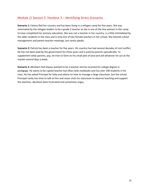### Module 2/ Session 5: Handout 3 – Identifying Stress Scenarios

**Scenario 1:** Fatima fled her country and has been living in a refugee camp for five years. She was nominated by the refugee leaders to be a grade 2 teacher as she is one of the few women in the camp to have completed her primary education. She was not a teacher in her country, is a little intimidated by the older students in the class and is only one of two female teachers in her school. She attends school management and parent teacher meetings, but rarely speaks.

**Scenario 2:** Patrick has been a teacher for five years. His country has had several decades of civil conflict. He has not been paid by the government for three years and is paid by parents sporadically. To supplement what parents, pay, he tries to farm on his small plot of land and sell whatever he can at the market several days a week.

**Scenario 3:** Abraham had always wanted to be a teacher and he received his college degree in pedagogy. He wants to be a good teacher but often lacks textbooks and has over 100 students in his class. He has asked Principal for help and advice on how to manage a large classroom, but the school Principal rarely has time to talk to him and never visits his classroom to observe teaching and support the teachers. Abraham feels frustrated and sometimes angry.